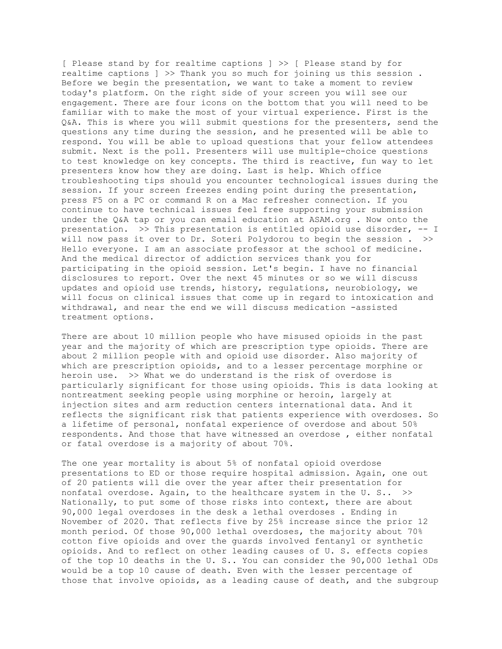[ Please stand by for realtime captions ] >> [ Please stand by for realtime captions ] >> Thank you so much for joining us this session . Before we begin the presentation, we want to take a moment to review today's platform. On the right side of your screen you will see our engagement. There are four icons on the bottom that you will need to be familiar with to make the most of your virtual experience. First is the Q&A. This is where you will submit questions for the presenters, send the questions any time during the session, and he presented will be able to respond. You will be able to upload questions that your fellow attendees submit. Next is the poll. Presenters will use multiple-choice questions to test knowledge on key concepts. The third is reactive, fun way to let presenters know how they are doing. Last is help. Which office troubleshooting tips should you encounter technological issues during the session. If your screen freezes ending point during the presentation, press F5 on a PC or command R on a Mac refresher connection. If you continue to have technical issues feel free supporting your submission under the Q&A tap or you can email education at ASAM.org . Now onto the presentation. >> This presentation is entitled opioid use disorder, -- I will now pass it over to Dr. Soteri Polydorou to begin the session . >> Hello everyone. I am an associate professor at the school of medicine. And the medical director of addiction services thank you for participating in the opioid session. Let's begin. I have no financial disclosures to report. Over the next 45 minutes or so we will discuss updates and opioid use trends, history, regulations, neurobiology, we will focus on clinical issues that come up in regard to intoxication and withdrawal, and near the end we will discuss medication -assisted treatment options.

There are about 10 million people who have misused opioids in the past year and the majority of which are prescription type opioids. There are about 2 million people with and opioid use disorder. Also majority of which are prescription opioids, and to a lesser percentage morphine or heroin use. >> What we do understand is the risk of overdose is particularly significant for those using opioids. This is data looking at nontreatment seeking people using morphine or heroin, largely at injection sites and arm reduction centers international data. And it reflects the significant risk that patients experience with overdoses. So a lifetime of personal, nonfatal experience of overdose and about 50% respondents. And those that have witnessed an overdose , either nonfatal or fatal overdose is a majority of about 70%.

The one year mortality is about 5% of nonfatal opioid overdose presentations to ED or those require hospital admission. Again, one out of 20 patients will die over the year after their presentation for nonfatal overdose. Again, to the healthcare system in the U. S.. >> Nationally, to put some of those risks into context, there are about 90,000 legal overdoses in the desk a lethal overdoses . Ending in November of 2020. That reflects five by 25% increase since the prior 12 month period. Of those 90,000 lethal overdoses, the majority about 70% cotton five opioids and over the guards involved fentanyl or synthetic opioids. And to reflect on other leading causes of U. S. effects copies of the top 10 deaths in the U. S.. You can consider the 90,000 lethal ODs would be a top 10 cause of death. Even with the lesser percentage of those that involve opioids, as a leading cause of death, and the subgroup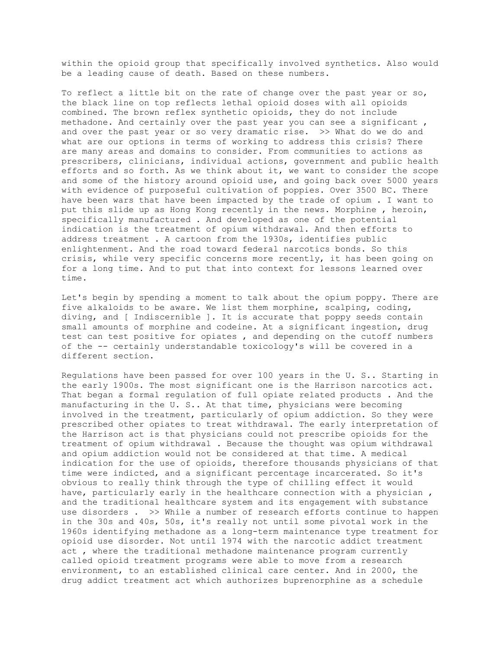within the opioid group that specifically involved synthetics. Also would be a leading cause of death. Based on these numbers.

To reflect a little bit on the rate of change over the past year or so, the black line on top reflects lethal opioid doses with all opioids combined. The brown reflex synthetic opioids, they do not include methadone. And certainly over the past year you can see a significant , and over the past year or so very dramatic rise. >> What do we do and what are our options in terms of working to address this crisis? There are many areas and domains to consider. From communities to actions as prescribers, clinicians, individual actions, government and public health efforts and so forth. As we think about it, we want to consider the scope and some of the history around opioid use, and going back over 5000 years with evidence of purposeful cultivation of poppies. Over 3500 BC. There have been wars that have been impacted by the trade of opium . I want to put this slide up as Hong Kong recently in the news. Morphine , heroin, specifically manufactured . And developed as one of the potential indication is the treatment of opium withdrawal. And then efforts to address treatment . A cartoon from the 1930s, identifies public enlightenment. And the road toward federal narcotics bonds. So this crisis, while very specific concerns more recently, it has been going on for a long time. And to put that into context for lessons learned over time.

Let's begin by spending a moment to talk about the opium poppy. There are five alkaloids to be aware. We list them morphine, scalping, coding, diving, and [ Indiscernible ]. It is accurate that poppy seeds contain small amounts of morphine and codeine. At a significant ingestion, drug test can test positive for opiates , and depending on the cutoff numbers of the -- certainly understandable toxicology's will be covered in a different section.

Regulations have been passed for over 100 years in the U. S.. Starting in the early 1900s. The most significant one is the Harrison narcotics act. That began a formal regulation of full opiate related products . And the manufacturing in the U. S.. At that time, physicians were becoming involved in the treatment, particularly of opium addiction. So they were prescribed other opiates to treat withdrawal. The early interpretation of the Harrison act is that physicians could not prescribe opioids for the treatment of opium withdrawal . Because the thought was opium withdrawal and opium addiction would not be considered at that time. A medical indication for the use of opioids, therefore thousands physicians of that time were indicted, and a significant percentage incarcerated. So it's obvious to really think through the type of chilling effect it would have, particularly early in the healthcare connection with a physician , and the traditional healthcare system and its engagement with substance use disorders . >> While a number of research efforts continue to happen in the 30s and 40s, 50s, it's really not until some pivotal work in the 1960s identifying methadone as a long-term maintenance type treatment for opioid use disorder. Not until 1974 with the narcotic addict treatment act , where the traditional methadone maintenance program currently called opioid treatment programs were able to move from a research environment, to an established clinical care center. And in 2000, the drug addict treatment act which authorizes buprenorphine as a schedule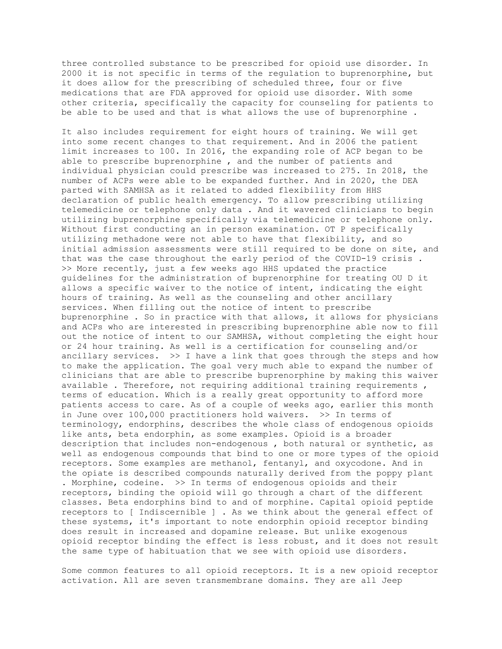three controlled substance to be prescribed for opioid use disorder. In 2000 it is not specific in terms of the regulation to buprenorphine, but it does allow for the prescribing of scheduled three, four or five medications that are FDA approved for opioid use disorder. With some other criteria, specifically the capacity for counseling for patients to be able to be used and that is what allows the use of buprenorphine .

It also includes requirement for eight hours of training. We will get into some recent changes to that requirement. And in 2006 the patient limit increases to 100. In 2016, the expanding role of ACP began to be able to prescribe buprenorphine , and the number of patients and individual physician could prescribe was increased to 275. In 2018, the number of ACPs were able to be expanded further. And in 2020, the DEA parted with SAMHSA as it related to added flexibility from HHS declaration of public health emergency. To allow prescribing utilizing telemedicine or telephone only data . And it wavered clinicians to begin utilizing buprenorphine specifically via telemedicine or telephone only. Without first conducting an in person examination. OT P specifically utilizing methadone were not able to have that flexibility, and so initial admission assessments were still required to be done on site, and that was the case throughout the early period of the COVID-19 crisis . >> More recently, just a few weeks ago HHS updated the practice guidelines for the administration of buprenorphine for treating OU D it allows a specific waiver to the notice of intent, indicating the eight hours of training. As well as the counseling and other ancillary services. When filling out the notice of intent to prescribe buprenorphine . So in practice with that allows, it allows for physicians and ACPs who are interested in prescribing buprenorphine able now to fill out the notice of intent to our SAMHSA, without completing the eight hour or 24 hour training. As well is a certification for counseling and/or ancillary services.  $\gg$  I have a link that goes through the steps and how to make the application. The goal very much able to expand the number of clinicians that are able to prescribe buprenorphine by making this waiver available . Therefore, not requiring additional training requirements , terms of education. Which is a really great opportunity to afford more patients access to care. As of a couple of weeks ago, earlier this month in June over 100,000 practitioners hold waivers. >> In terms of terminology, endorphins, describes the whole class of endogenous opioids like ants, beta endorphin, as some examples. Opioid is a broader description that includes non-endogenous , both natural or synthetic, as well as endogenous compounds that bind to one or more types of the opioid receptors. Some examples are methanol, fentanyl, and oxycodone. And in the opiate is described compounds naturally derived from the poppy plant . Morphine, codeine. >> In terms of endogenous opioids and their receptors, binding the opioid will go through a chart of the different classes. Beta endorphins bind to and of morphine. Capital opioid peptide receptors to [ Indiscernible ] . As we think about the general effect of these systems, it's important to note endorphin opioid receptor binding does result in increased and dopamine release. But unlike exogenous opioid receptor binding the effect is less robust, and it does not result the same type of habituation that we see with opioid use disorders.

Some common features to all opioid receptors. It is a new opioid receptor activation. All are seven transmembrane domains. They are all Jeep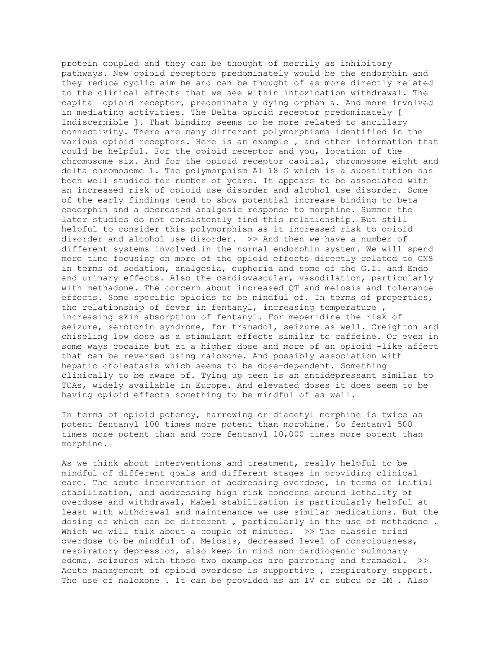protein coupled and they can be thought of merrily as inhibitory pathways. New opioid receptors predominately would be the endorphin and they reduce cyclic aim be and can be thought of as more directly related to the clinical effects that we see within intoxication withdrawal. The capital opioid receptor, predominately dying orphan a. And more involved in mediating activities. The Delta opioid receptor predominately [ Indiscernible ]. That binding seems to be more related to ancillary connectivity. There are many different polymorphisms identified in the various opioid receptors. Here is an example , and other information that could be helpful. For the opioid receptor and you, location of the chromosome six. And for the opioid receptor capital, chromosome eight and delta chromosome 1. The polymorphism A1 18 G which is a substitution has been well studied for number of years. It appears to be associated with an increased risk of opioid use disorder and alcohol use disorder. Some of the early findings tend to show potential increase binding to beta endorphin and a decreased analgesic response to morphine. Summer the later studies do not consistently find this relationship. But still helpful to consider this polymorphism as it increased risk to opioid disorder and alcohol use disorder. >> And then we have a number of different systems involved in the normal endorphin system. We will spend more time focusing on more of the opioid effects directly related to CNS in terms of sedation, analgesia, euphoria and some of the G.I. and Endo and urinary effects. Also the cardiovascular, vasodilation, particularly with methadone. The concern about increased QT and meiosis and tolerance effects. Some specific opioids to be mindful of. In terms of properties, the relationship of fever in fentanyl, increasing temperature , increasing skin absorption of fentanyl. For meperidine the risk of seizure, serotonin syndrome, for tramadol, seizure as well. Creighton and chiseling low dose as a stimulant effects similar to caffeine. Or even in some ways cocaine but at a higher dose and more of an opioid -like affect that can be reversed using naloxone. And possibly association with hepatic cholestasis which seems to be dose-dependent. Something clinically to be aware of. Tying up teen is an antidepressant similar to TCAs, widely available in Europe. And elevated doses it does seem to be having opioid effects something to be mindful of as well.

In terms of opioid potency, harrowing or diacetyl morphine is twice as potent fentanyl 100 times more potent than morphine. So fentanyl 500 times more potent than and core fentanyl 10,000 times more potent than morphine.

As we think about interventions and treatment, really helpful to be mindful of different goals and different stages in providing clinical care. The acute intervention of addressing overdose, in terms of initial stabilization, and addressing high risk concerns around lethality of overdose and withdrawal, Mabel stabilization is particularly helpful at least with withdrawal and maintenance we use similar medications. But the dosing of which can be different , particularly in the use of methadone . Which we will talk about a couple of minutes. >> The classic triad overdose to be mindful of. Meiosis, decreased level of consciousness, respiratory depression, also keep in mind non-cardiogenic pulmonary edema, seizures with those two examples are parroting and tramadol. >> Acute management of opioid overdose is supportive , respiratory support. The use of naloxone . It can be provided as an IV or subcu or IM . Also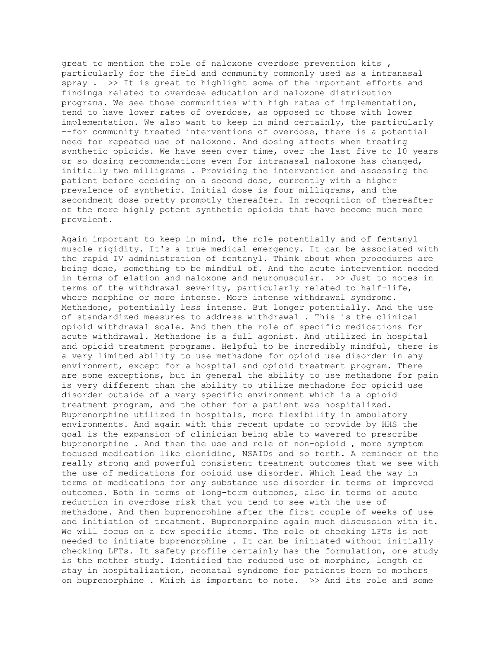great to mention the role of naloxone overdose prevention kits , particularly for the field and community commonly used as a intranasal spray . >> It is great to highlight some of the important efforts and findings related to overdose education and naloxone distribution programs. We see those communities with high rates of implementation, tend to have lower rates of overdose, as opposed to those with lower implementation. We also want to keep in mind certainly, the particularly --for community treated interventions of overdose, there is a potential need for repeated use of naloxone. And dosing affects when treating synthetic opioids. We have seen over time, over the last five to 10 years or so dosing recommendations even for intranasal naloxone has changed, initially two milligrams . Providing the intervention and assessing the patient before deciding on a second dose, currently with a higher prevalence of synthetic. Initial dose is four milligrams, and the secondment dose pretty promptly thereafter. In recognition of thereafter of the more highly potent synthetic opioids that have become much more prevalent.

Again important to keep in mind, the role potentially and of fentanyl muscle rigidity. It's a true medical emergency. It can be associated with the rapid IV administration of fentanyl. Think about when procedures are being done, something to be mindful of. And the acute intervention needed in terms of elation and naloxone and neuromuscular. >> Just to notes in terms of the withdrawal severity, particularly related to half-life, where morphine or more intense. More intense withdrawal syndrome. Methadone, potentially less intense. But longer potentially. And the use of standardized measures to address withdrawal . This is the clinical opioid withdrawal scale. And then the role of specific medications for acute withdrawal. Methadone is a full agonist. And utilized in hospital and opioid treatment programs. Helpful to be incredibly mindful, there is a very limited ability to use methadone for opioid use disorder in any environment, except for a hospital and opioid treatment program. There are some exceptions, but in general the ability to use methadone for pain is very different than the ability to utilize methadone for opioid use disorder outside of a very specific environment which is a opioid treatment program, and the other for a patient was hospitalized. Buprenorphine utilized in hospitals, more flexibility in ambulatory environments. And again with this recent update to provide by HHS the goal is the expansion of clinician being able to wavered to prescribe buprenorphine . And then the use and role of non-opioid , more symptom focused medication like clonidine, NSAIDs and so forth. A reminder of the really strong and powerful consistent treatment outcomes that we see with the use of medications for opioid use disorder. Which lead the way in terms of medications for any substance use disorder in terms of improved outcomes. Both in terms of long-term outcomes, also in terms of acute reduction in overdose risk that you tend to see with the use of methadone. And then buprenorphine after the first couple of weeks of use and initiation of treatment. Buprenorphine again much discussion with it. We will focus on a few specific items. The role of checking LFTs is not needed to initiate buprenorphine . It can be initiated without initially checking LFTs. It safety profile certainly has the formulation, one study is the mother study. Identified the reduced use of morphine, length of stay in hospitalization, neonatal syndrome for patients born to mothers on buprenorphine . Which is important to note. >> And its role and some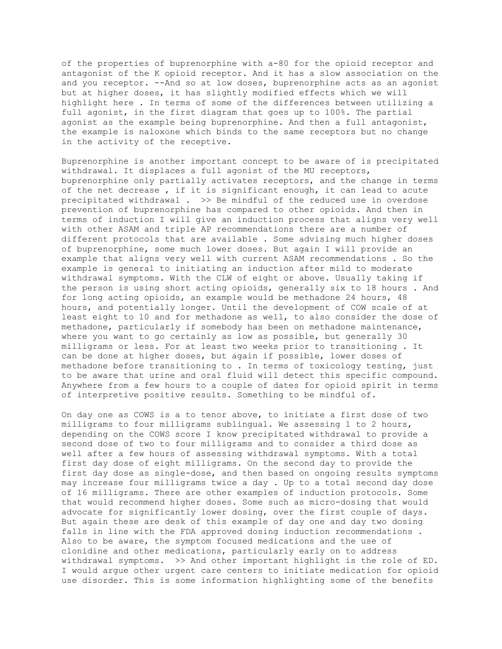of the properties of buprenorphine with a-80 for the opioid receptor and antagonist of the K opioid receptor. And it has a slow association on the and you receptor. --And so at low doses, buprenorphine acts as an agonist but at higher doses, it has slightly modified effects which we will highlight here . In terms of some of the differences between utilizing a full agonist, in the first diagram that goes up to 100%. The partial agonist as the example being buprenorphine. And then a full antagonist, the example is naloxone which binds to the same receptors but no change in the activity of the receptive.

Buprenorphine is another important concept to be aware of is precipitated withdrawal. It displaces a full agonist of the MU receptors, buprenorphine only partially activates receptors, and the change in terms of the net decrease , if it is significant enough, it can lead to acute precipitated withdrawal . >> Be mindful of the reduced use in overdose prevention of buprenorphine has compared to other opioids. And then in terms of induction I will give an induction process that aligns very well with other ASAM and triple AP recommendations there are a number of different protocols that are available . Some advising much higher doses of buprenorphine, some much lower doses. But again I will provide an example that aligns very well with current ASAM recommendations . So the example is general to initiating an induction after mild to moderate withdrawal symptoms. With the CLW of eight or above. Usually taking if the person is using short acting opioids, generally six to 18 hours . And for long acting opioids, an example would be methadone 24 hours, 48 hours, and potentially longer. Until the development of COW scale of at least eight to 10 and for methadone as well, to also consider the dose of methadone, particularly if somebody has been on methadone maintenance, where you want to go certainly as low as possible, but generally 30 milligrams or less. For at least two weeks prior to transitioning . It can be done at higher doses, but again if possible, lower doses of methadone before transitioning to . In terms of toxicology testing, just to be aware that urine and oral fluid will detect this specific compound. Anywhere from a few hours to a couple of dates for opioid spirit in terms of interpretive positive results. Something to be mindful of.

On day one as COWS is a to tenor above, to initiate a first dose of two milligrams to four milligrams sublingual. We assessing 1 to 2 hours, depending on the COWS score I know precipitated withdrawal to provide a second dose of two to four milligrams and to consider a third dose as well after a few hours of assessing withdrawal symptoms. With a total first day dose of eight milligrams. On the second day to provide the first day dose as single-dose, and then based on ongoing results symptoms may increase four milligrams twice a day . Up to a total second day dose of 16 milligrams. There are other examples of induction protocols. Some that would recommend higher doses. Some such as micro-dosing that would advocate for significantly lower dosing, over the first couple of days. But again these are desk of this example of day one and day two dosing falls in line with the FDA approved dosing induction recommendations . Also to be aware, the symptom focused medications and the use of clonidine and other medications, particularly early on to address withdrawal symptoms. >> And other important highlight is the role of ED. I would argue other urgent care centers to initiate medication for opioid use disorder. This is some information highlighting some of the benefits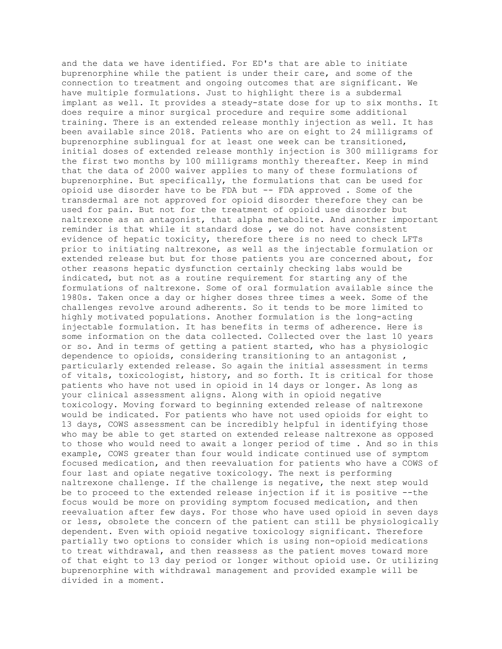and the data we have identified. For ED's that are able to initiate buprenorphine while the patient is under their care, and some of the connection to treatment and ongoing outcomes that are significant. We have multiple formulations. Just to highlight there is a subdermal implant as well. It provides a steady-state dose for up to six months. It does require a minor surgical procedure and require some additional training. There is an extended release monthly injection as well. It has been available since 2018. Patients who are on eight to 24 milligrams of buprenorphine sublingual for at least one week can be transitioned, initial doses of extended release monthly injection is 300 milligrams for the first two months by 100 milligrams monthly thereafter. Keep in mind that the data of 2000 waiver applies to many of these formulations of buprenorphine. But specifically, the formulations that can be used for opioid use disorder have to be FDA but -- FDA approved . Some of the transdermal are not approved for opioid disorder therefore they can be used for pain. But not for the treatment of opioid use disorder but naltrexone as an antagonist, that alpha metabolite. And another important reminder is that while it standard dose , we do not have consistent evidence of hepatic toxicity, therefore there is no need to check LFTs prior to initiating naltrexone, as well as the injectable formulation or extended release but but for those patients you are concerned about, for other reasons hepatic dysfunction certainly checking labs would be indicated, but not as a routine requirement for starting any of the formulations of naltrexone. Some of oral formulation available since the 1980s. Taken once a day or higher doses three times a week. Some of the challenges revolve around adherents. So it tends to be more limited to highly motivated populations. Another formulation is the long-acting injectable formulation. It has benefits in terms of adherence. Here is some information on the data collected. Collected over the last 10 years or so. And in terms of getting a patient started, who has a physiologic dependence to opioids, considering transitioning to an antagonist , particularly extended release. So again the initial assessment in terms of vitals, toxicologist, history, and so forth. It is critical for those patients who have not used in opioid in 14 days or longer. As long as your clinical assessment aligns. Along with in opioid negative toxicology. Moving forward to beginning extended release of naltrexone would be indicated. For patients who have not used opioids for eight to 13 days, COWS assessment can be incredibly helpful in identifying those who may be able to get started on extended release naltrexone as opposed to those who would need to await a longer period of time . And so in this example, COWS greater than four would indicate continued use of symptom focused medication, and then reevaluation for patients who have a COWS of four last and opiate negative toxicology. The next is performing naltrexone challenge. If the challenge is negative, the next step would be to proceed to the extended release injection if it is positive --the focus would be more on providing symptom focused medication, and then reevaluation after few days. For those who have used opioid in seven days or less, obsolete the concern of the patient can still be physiologically dependent. Even with opioid negative toxicology significant. Therefore partially two options to consider which is using non-opioid medications to treat withdrawal, and then reassess as the patient moves toward more of that eight to 13 day period or longer without opioid use. Or utilizing buprenorphine with withdrawal management and provided example will be divided in a moment.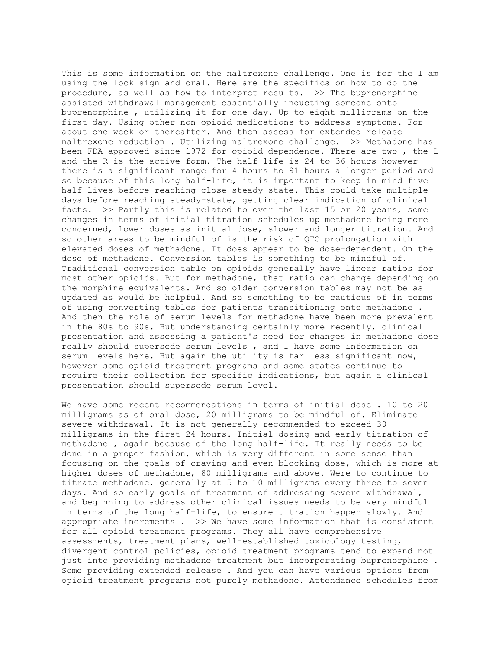This is some information on the naltrexone challenge. One is for the I am using the lock sign and oral. Here are the specifics on how to do the procedure, as well as how to interpret results. >> The buprenorphine assisted withdrawal management essentially inducting someone onto buprenorphine , utilizing it for one day. Up to eight milligrams on the first day. Using other non-opioid medications to address symptoms. For about one week or thereafter. And then assess for extended release naltrexone reduction . Utilizing naltrexone challenge. >> Methadone has been FDA approved since 1972 for opioid dependence. There are two , the L and the R is the active form. The half-life is 24 to 36 hours however there is a significant range for 4 hours to 91 hours a longer period and so because of this long half-life, it is important to keep in mind five half-lives before reaching close steady-state. This could take multiple days before reaching steady-state, getting clear indication of clinical facts. >> Partly this is related to over the last 15 or 20 years, some changes in terms of initial titration schedules up methadone being more concerned, lower doses as initial dose, slower and longer titration. And so other areas to be mindful of is the risk of QTC prolongation with elevated doses of methadone. It does appear to be dose-dependent. On the dose of methadone. Conversion tables is something to be mindful of. Traditional conversion table on opioids generally have linear ratios for most other opioids. But for methadone, that ratio can change depending on the morphine equivalents. And so older conversion tables may not be as updated as would be helpful. And so something to be cautious of in terms of using converting tables for patients transitioning onto methadone . And then the role of serum levels for methadone have been more prevalent in the 80s to 90s. But understanding certainly more recently, clinical presentation and assessing a patient's need for changes in methadone dose really should supersede serum levels , and I have some information on serum levels here. But again the utility is far less significant now, however some opioid treatment programs and some states continue to require their collection for specific indications, but again a clinical presentation should supersede serum level.

We have some recent recommendations in terms of initial dose . 10 to 20 milligrams as of oral dose, 20 milligrams to be mindful of. Eliminate severe withdrawal. It is not generally recommended to exceed 30 milligrams in the first 24 hours. Initial dosing and early titration of methadone , again because of the long half-life. It really needs to be done in a proper fashion, which is very different in some sense than focusing on the goals of craving and even blocking dose, which is more at higher doses of methadone, 80 milligrams and above. Were to continue to titrate methadone, generally at 5 to 10 milligrams every three to seven days. And so early goals of treatment of addressing severe withdrawal, and beginning to address other clinical issues needs to be very mindful in terms of the long half-life, to ensure titration happen slowly. And appropriate increments  $.$  >> We have some information that is consistent for all opioid treatment programs. They all have comprehensive assessments, treatment plans, well-established toxicology testing, divergent control policies, opioid treatment programs tend to expand not just into providing methadone treatment but incorporating buprenorphine . Some providing extended release . And you can have various options from opioid treatment programs not purely methadone. Attendance schedules from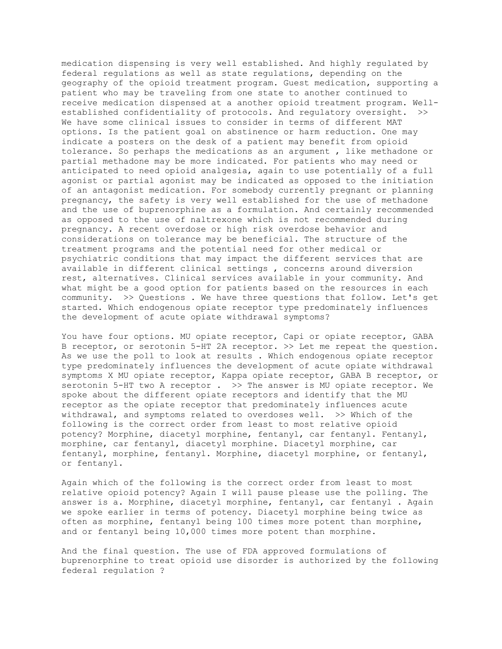medication dispensing is very well established. And highly regulated by federal regulations as well as state regulations, depending on the geography of the opioid treatment program. Guest medication, supporting a patient who may be traveling from one state to another continued to receive medication dispensed at a another opioid treatment program. Wellestablished confidentiality of protocols. And regulatory oversight. >> We have some clinical issues to consider in terms of different MAT options. Is the patient goal on abstinence or harm reduction. One may indicate a posters on the desk of a patient may benefit from opioid tolerance. So perhaps the medications as an argument , like methadone or partial methadone may be more indicated. For patients who may need or anticipated to need opioid analgesia, again to use potentially of a full agonist or partial agonist may be indicated as opposed to the initiation of an antagonist medication. For somebody currently pregnant or planning pregnancy, the safety is very well established for the use of methadone and the use of buprenorphine as a formulation. And certainly recommended as opposed to the use of naltrexone which is not recommended during pregnancy. A recent overdose or high risk overdose behavior and considerations on tolerance may be beneficial. The structure of the treatment programs and the potential need for other medical or psychiatric conditions that may impact the different services that are available in different clinical settings , concerns around diversion rest, alternatives. Clinical services available in your community. And what might be a good option for patients based on the resources in each community. >> Questions . We have three questions that follow. Let's get started. Which endogenous opiate receptor type predominately influences the development of acute opiate withdrawal symptoms?

You have four options. MU opiate receptor, Capi or opiate receptor, GABA B receptor, or serotonin 5-HT 2A receptor. >> Let me repeat the question. As we use the poll to look at results . Which endogenous opiate receptor type predominately influences the development of acute opiate withdrawal symptoms X MU opiate receptor, Kappa opiate receptor, GABA B receptor, or serotonin 5-HT two A receptor . >> The answer is MU opiate receptor. We spoke about the different opiate receptors and identify that the MU receptor as the opiate receptor that predominately influences acute withdrawal, and symptoms related to overdoses well. >> Which of the following is the correct order from least to most relative opioid potency? Morphine, diacetyl morphine, fentanyl, car fentanyl. Fentanyl, morphine, car fentanyl, diacetyl morphine. Diacetyl morphine, car fentanyl, morphine, fentanyl. Morphine, diacetyl morphine, or fentanyl, or fentanyl.

Again which of the following is the correct order from least to most relative opioid potency? Again I will pause please use the polling. The answer is a. Morphine, diacetyl morphine, fentanyl, car fentanyl . Again we spoke earlier in terms of potency. Diacetyl morphine being twice as often as morphine, fentanyl being 100 times more potent than morphine, and or fentanyl being 10,000 times more potent than morphine.

And the final question. The use of FDA approved formulations of buprenorphine to treat opioid use disorder is authorized by the following federal regulation ?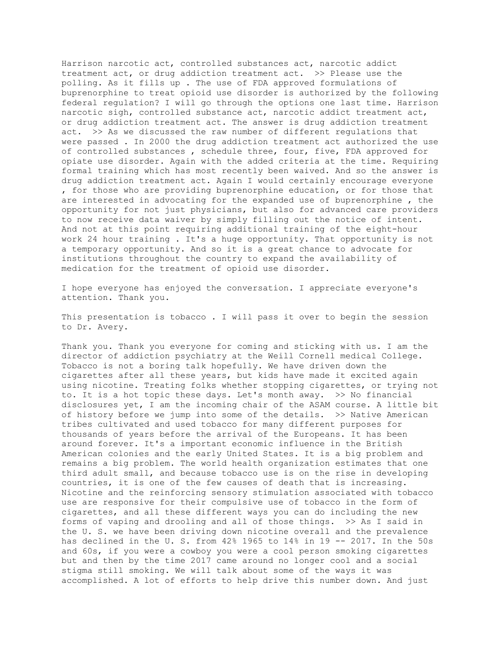Harrison narcotic act, controlled substances act, narcotic addict treatment act, or drug addiction treatment act. >> Please use the polling. As it fills up . The use of FDA approved formulations of buprenorphine to treat opioid use disorder is authorized by the following federal regulation? I will go through the options one last time. Harrison narcotic sigh, controlled substance act, narcotic addict treatment act, or drug addiction treatment act. The answer is drug addiction treatment act. >> As we discussed the raw number of different regulations that were passed . In 2000 the drug addiction treatment act authorized the use of controlled substances , schedule three, four, five, FDA approved for opiate use disorder. Again with the added criteria at the time. Requiring formal training which has most recently been waived. And so the answer is drug addiction treatment act. Again I would certainly encourage everyone , for those who are providing buprenorphine education, or for those that are interested in advocating for the expanded use of buprenorphine , the opportunity for not just physicians, but also for advanced care providers to now receive data waiver by simply filling out the notice of intent. And not at this point requiring additional training of the eight-hour work 24 hour training . It's a huge opportunity. That opportunity is not a temporary opportunity. And so it is a great chance to advocate for institutions throughout the country to expand the availability of medication for the treatment of opioid use disorder.

I hope everyone has enjoyed the conversation. I appreciate everyone's attention. Thank you.

This presentation is tobacco . I will pass it over to begin the session to Dr. Avery.

Thank you. Thank you everyone for coming and sticking with us. I am the director of addiction psychiatry at the Weill Cornell medical College. Tobacco is not a boring talk hopefully. We have driven down the cigarettes after all these years, but kids have made it excited again using nicotine. Treating folks whether stopping cigarettes, or trying not to. It is a hot topic these days. Let's month away. >> No financial disclosures yet, I am the incoming chair of the ASAM course. A little bit of history before we jump into some of the details. >> Native American tribes cultivated and used tobacco for many different purposes for thousands of years before the arrival of the Europeans. It has been around forever. It's a important economic influence in the British American colonies and the early United States. It is a big problem and remains a big problem. The world health organization estimates that one third adult small, and because tobacco use is on the rise in developing countries, it is one of the few causes of death that is increasing. Nicotine and the reinforcing sensory stimulation associated with tobacco use are responsive for their compulsive use of tobacco in the form of cigarettes, and all these different ways you can do including the new forms of vaping and drooling and all of those things. >> As I said in the U. S. we have been driving down nicotine overall and the prevalence has declined in the U. S. from 42% 1965 to 14% in 19 -- 2017. In the 50s and 60s, if you were a cowboy you were a cool person smoking cigarettes but and then by the time 2017 came around no longer cool and a social stigma still smoking. We will talk about some of the ways it was accomplished. A lot of efforts to help drive this number down. And just